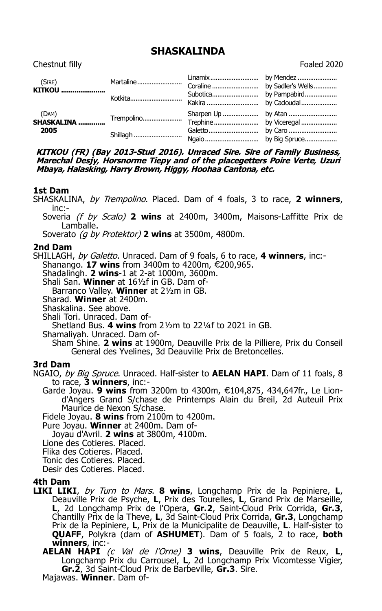# **SHASKALINDA**

Chestnut filly Foaled 2020

| (SIRE)<br><b>KITKOU </b>                     |                        |  |
|----------------------------------------------|------------------------|--|
| (DAM)<br>(DAM)<br><b>SHASKALINA </b><br>2005 | Trempolino<br>Shillagh |  |

**KITKOU (FR) (Bay 2013-Stud 2016). Unraced Sire. Sire of Family Business, Marechal Desjy, Horsnorme Tiepy and of the placegetters Poire Verte, Uzuri Mbaya, Halasking, Harry Brown, Higgy, Hoohaa Cantona, etc.**

### **1st Dam**

SHASKALINA, by Trempolino. Placed. Dam of 4 foals, 3 to race, **2 winners**, inc:-

Soveria (f by Scalo) **2 wins** at 2400m, 3400m, Maisons-Laffitte Prix de Lamballe.

Soverato (g by Protektor) **2 wins** at 3500m, 4800m.

## **2nd Dam**

SHILLAGH, by Galetto. Unraced. Dam of 9 foals, 6 to race, **4 winners**, inc:-

Shanango. **17 wins** from 3400m to 4200m, €200,965.

Shadalingh. **2 wins**-1 at 2-at 1000m, 3600m.

Shali San. **Winner** at 16½f in GB. Dam of-

Barranco Valley. **Winner** at 2½m in GB.

Sharad. **Winner** at 2400m.

Shaskalina. See above.

Shali Tori. Unraced. Dam of-

Shetland Bus. **4 wins** from 2½m to 22¼f to 2021 in GB.

Shamaliyah. Unraced. Dam of-

Sham Shine. **2 wins** at 1900m, Deauville Prix de la Pilliere, Prix du Conseil General des Yvelines, 3d Deauville Prix de Bretoncelles.

### **3rd Dam**

NGAIO, by Big Spruce. Unraced. Half-sister to **AELAN HAPI**. Dam of 11 foals, 8 to race, **3 winners**, inc:-

Garde Joyau. 9 wins from 3200m to 4300m, €104,875, 434,647fr., Le Liond'Angers Grand S/chase de Printemps Alain du Breil, 2d Auteuil Prix Maurice de Nexon S/chase.

Fidele Joyau. **8 wins** from 2100m to 4200m.

Pure Joyau. **Winner** at 2400m. Dam of-

Joyau d'Avril. **2 wins** at 3800m, 4100m.

Lione des Cotieres. Placed.

Flika des Cotieres. Placed.

Tonic des Cotieres. Placed.

Desir des Cotieres. Placed.

### **4th Dam**

**LIKI LIKI**, by Turn to Mars. **8 wins**, Longchamp Prix de la Pepiniere, **L**, Deauville Prix de Psyche, **L**, Prix des Tourelles, **L**, Grand Prix de Marseille, **L**, 2d Longchamp Prix de l'Opera, **Gr.2**, Saint-Cloud Prix Corrida, **Gr.3**, Chantilly Prix de la Theve, **L**, 3d Saint-Cloud Prix Corrida, **Gr.3**, Longchamp Prix de la Pepiniere, **L**, Prix de la Municipalite de Deauville, **L**. Half-sister to **QUAFF**, Polykra (dam of **ASHUMET**). Dam of 5 foals, 2 to race, **both winners**, inc:-

**AELAN HAPI** (c Val de l'Orne) **3 wins**, Deauville Prix de Reux, **L**, Longchamp Prix du Carrousel, **L**, 2d Longchamp Prix Vicomtesse Vigier, **Gr.2**, 3d Saint-Cloud Prix de Barbeville, **Gr.3**. Sire. Majawas. **Winner**. Dam of